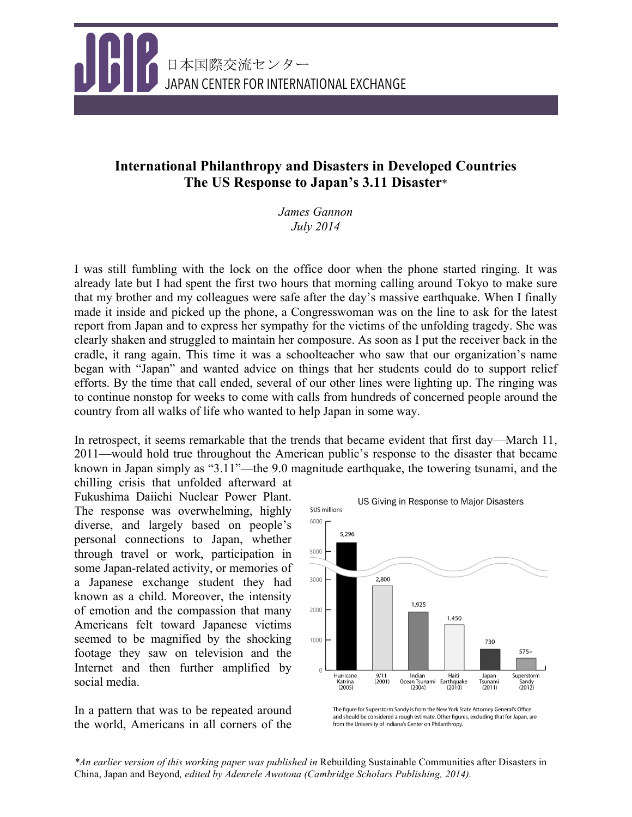

# **International Philanthropy and Disasters in Developed Countries The US Response to Japan's 3.11 Disaster**\*

*James Gannon July 2014*

I was still fumbling with the lock on the office door when the phone started ringing. It was already late but I had spent the first two hours that morning calling around Tokyo to make sure that my brother and my colleagues were safe after the day's massive earthquake. When I finally made it inside and picked up the phone, a Congresswoman was on the line to ask for the latest report from Japan and to express her sympathy for the victims of the unfolding tragedy. She was clearly shaken and struggled to maintain her composure. As soon as I put the receiver back in the cradle, it rang again. This time it was a schoolteacher who saw that our organization's name began with "Japan" and wanted advice on things that her students could do to support relief efforts. By the time that call ended, several of our other lines were lighting up. The ringing was to continue nonstop for weeks to come with calls from hundreds of concerned people around the country from all walks of life who wanted to help Japan in some way.

In retrospect, it seems remarkable that the trends that became evident that first day—March 11, 2011—would hold true throughout the American public's response to the disaster that became known in Japan simply as "3.11"—the 9.0 magnitude earthquake, the towering tsunami, and the

chilling crisis that unfolded afterward at Fukushima Daiichi Nuclear Power Plant. The response was overwhelming, highly diverse, and largely based on people's personal connections to Japan, whether through travel or work, participation in some Japan-related activity, or memories of a Japanese exchange student they had known as a child. Moreover, the intensity of emotion and the compassion that many Americans felt toward Japanese victims seemed to be magnified by the shocking footage they saw on television and the Internet and then further amplified by social media.

In a pattern that was to be repeated around the world, Americans in all corners of the



The figure for Superstorm Sandy is from the New York State Attorney General's Office and should be considered a rough estimate. Other figures, excluding that for Japan, are from the University of Indiana's Center on Philanthropy.

*\*An earlier version of this working paper was published in* Rebuilding Sustainable Communities after Disasters in China, Japan and Beyond*, edited by Adenrele Awotona (Cambridge Scholars Publishing, 2014).*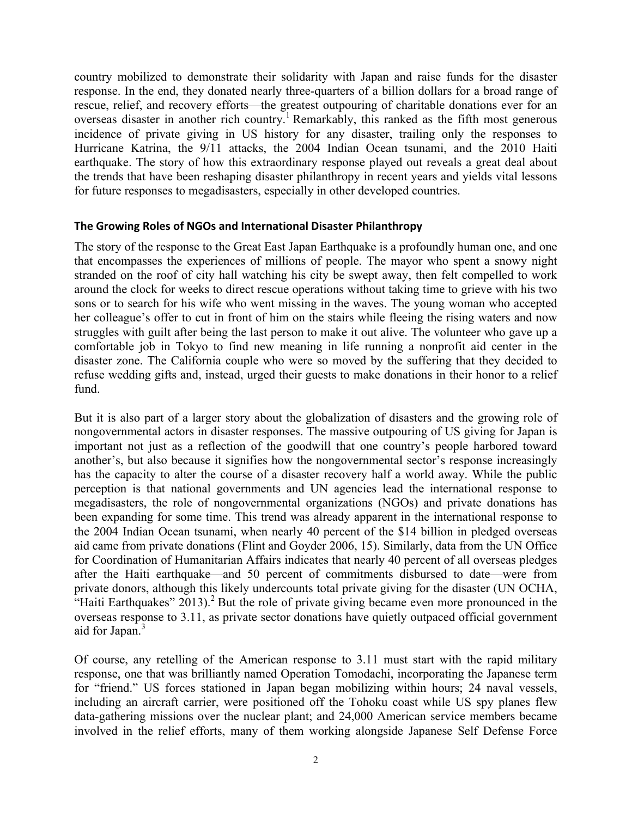country mobilized to demonstrate their solidarity with Japan and raise funds for the disaster response. In the end, they donated nearly three-quarters of a billion dollars for a broad range of rescue, relief, and recovery efforts—the greatest outpouring of charitable donations ever for an overseas disaster in another rich country.<sup>1</sup> Remarkably, this ranked as the fifth most generous incidence of private giving in US history for any disaster, trailing only the responses to Hurricane Katrina, the 9/11 attacks, the 2004 Indian Ocean tsunami, and the 2010 Haiti earthquake. The story of how this extraordinary response played out reveals a great deal about the trends that have been reshaping disaster philanthropy in recent years and yields vital lessons for future responses to megadisasters, especially in other developed countries.

#### **The Growing Roles of NGOs and International Disaster Philanthropy**

The story of the response to the Great East Japan Earthquake is a profoundly human one, and one that encompasses the experiences of millions of people. The mayor who spent a snowy night stranded on the roof of city hall watching his city be swept away, then felt compelled to work around the clock for weeks to direct rescue operations without taking time to grieve with his two sons or to search for his wife who went missing in the waves. The young woman who accepted her colleague's offer to cut in front of him on the stairs while fleeing the rising waters and now struggles with guilt after being the last person to make it out alive. The volunteer who gave up a comfortable job in Tokyo to find new meaning in life running a nonprofit aid center in the disaster zone. The California couple who were so moved by the suffering that they decided to refuse wedding gifts and, instead, urged their guests to make donations in their honor to a relief fund.

But it is also part of a larger story about the globalization of disasters and the growing role of nongovernmental actors in disaster responses. The massive outpouring of US giving for Japan is important not just as a reflection of the goodwill that one country's people harbored toward another's, but also because it signifies how the nongovernmental sector's response increasingly has the capacity to alter the course of a disaster recovery half a world away. While the public perception is that national governments and UN agencies lead the international response to megadisasters, the role of nongovernmental organizations (NGOs) and private donations has been expanding for some time. This trend was already apparent in the international response to the 2004 Indian Ocean tsunami, when nearly 40 percent of the \$14 billion in pledged overseas aid came from private donations (Flint and Goyder 2006, 15). Similarly, data from the UN Office for Coordination of Humanitarian Affairs indicates that nearly 40 percent of all overseas pledges after the Haiti earthquake—and 50 percent of commitments disbursed to date—were from private donors, although this likely undercounts total private giving for the disaster (UN OCHA, "Haiti Earthquakes"  $2013$ ).<sup>2</sup> But the role of private giving became even more pronounced in the overseas response to 3.11, as private sector donations have quietly outpaced official government aid for Japan.<sup>3</sup>

Of course, any retelling of the American response to 3.11 must start with the rapid military response, one that was brilliantly named Operation Tomodachi, incorporating the Japanese term for "friend." US forces stationed in Japan began mobilizing within hours; 24 naval vessels, including an aircraft carrier, were positioned off the Tohoku coast while US spy planes flew data-gathering missions over the nuclear plant; and 24,000 American service members became involved in the relief efforts, many of them working alongside Japanese Self Defense Force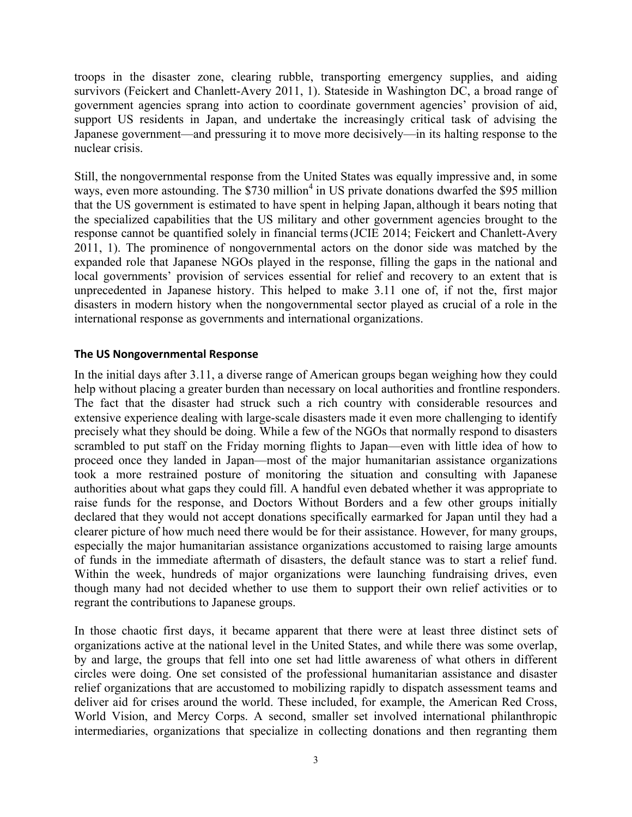troops in the disaster zone, clearing rubble, transporting emergency supplies, and aiding survivors (Feickert and Chanlett-Avery 2011, 1). Stateside in Washington DC, a broad range of government agencies sprang into action to coordinate government agencies' provision of aid, support US residents in Japan, and undertake the increasingly critical task of advising the Japanese government—and pressuring it to move more decisively—in its halting response to the nuclear crisis.

Still, the nongovernmental response from the United States was equally impressive and, in some ways, even more astounding. The \$730 million<sup>4</sup> in US private donations dwarfed the \$95 million that the US government is estimated to have spent in helping Japan, although it bears noting that the specialized capabilities that the US military and other government agencies brought to the response cannot be quantified solely in financial terms(JCIE 2014; Feickert and Chanlett-Avery 2011, 1). The prominence of nongovernmental actors on the donor side was matched by the expanded role that Japanese NGOs played in the response, filling the gaps in the national and local governments' provision of services essential for relief and recovery to an extent that is unprecedented in Japanese history. This helped to make 3.11 one of, if not the, first major disasters in modern history when the nongovernmental sector played as crucial of a role in the international response as governments and international organizations.

### **The US Nongovernmental Response**

In the initial days after 3.11, a diverse range of American groups began weighing how they could help without placing a greater burden than necessary on local authorities and frontline responders. The fact that the disaster had struck such a rich country with considerable resources and extensive experience dealing with large-scale disasters made it even more challenging to identify precisely what they should be doing. While a few of the NGOs that normally respond to disasters scrambled to put staff on the Friday morning flights to Japan—even with little idea of how to proceed once they landed in Japan—most of the major humanitarian assistance organizations took a more restrained posture of monitoring the situation and consulting with Japanese authorities about what gaps they could fill. A handful even debated whether it was appropriate to raise funds for the response, and Doctors Without Borders and a few other groups initially declared that they would not accept donations specifically earmarked for Japan until they had a clearer picture of how much need there would be for their assistance. However, for many groups, especially the major humanitarian assistance organizations accustomed to raising large amounts of funds in the immediate aftermath of disasters, the default stance was to start a relief fund. Within the week, hundreds of major organizations were launching fundraising drives, even though many had not decided whether to use them to support their own relief activities or to regrant the contributions to Japanese groups.

In those chaotic first days, it became apparent that there were at least three distinct sets of organizations active at the national level in the United States, and while there was some overlap, by and large, the groups that fell into one set had little awareness of what others in different circles were doing. One set consisted of the professional humanitarian assistance and disaster relief organizations that are accustomed to mobilizing rapidly to dispatch assessment teams and deliver aid for crises around the world. These included, for example, the American Red Cross, World Vision, and Mercy Corps. A second, smaller set involved international philanthropic intermediaries, organizations that specialize in collecting donations and then regranting them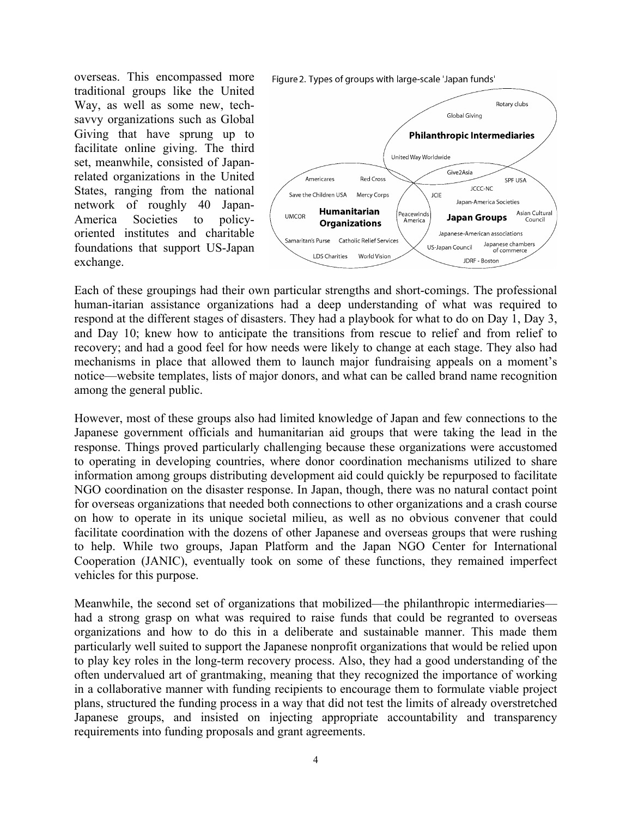overseas. This encompassed more traditional groups like the United Way, as well as some new, techsavvy organizations such as Global Giving that have sprung up to facilitate online giving. The third set, meanwhile, consisted of Japanrelated organizations in the United States, ranging from the national network of roughly 40 Japan-America Societies to policyoriented institutes and charitable foundations that support US-Japan exchange.

Figure 2. Types of groups with large-scale 'Japan funds'



Each of these groupings had their own particular strengths and short-comings. The professional human-itarian assistance organizations had a deep understanding of what was required to respond at the different stages of disasters. They had a playbook for what to do on Day 1, Day 3, and Day 10; knew how to anticipate the transitions from rescue to relief and from relief to recovery; and had a good feel for how needs were likely to change at each stage. They also had mechanisms in place that allowed them to launch major fundraising appeals on a moment's notice—website templates, lists of major donors, and what can be called brand name recognition among the general public.

However, most of these groups also had limited knowledge of Japan and few connections to the Japanese government officials and humanitarian aid groups that were taking the lead in the response. Things proved particularly challenging because these organizations were accustomed to operating in developing countries, where donor coordination mechanisms utilized to share information among groups distributing development aid could quickly be repurposed to facilitate NGO coordination on the disaster response. In Japan, though, there was no natural contact point for overseas organizations that needed both connections to other organizations and a crash course on how to operate in its unique societal milieu, as well as no obvious convener that could facilitate coordination with the dozens of other Japanese and overseas groups that were rushing to help. While two groups, Japan Platform and the Japan NGO Center for International Cooperation (JANIC), eventually took on some of these functions, they remained imperfect vehicles for this purpose.

Meanwhile, the second set of organizations that mobilized—the philanthropic intermediaries had a strong grasp on what was required to raise funds that could be regranted to overseas organizations and how to do this in a deliberate and sustainable manner. This made them particularly well suited to support the Japanese nonprofit organizations that would be relied upon to play key roles in the long-term recovery process. Also, they had a good understanding of the often undervalued art of grantmaking, meaning that they recognized the importance of working in a collaborative manner with funding recipients to encourage them to formulate viable project plans, structured the funding process in a way that did not test the limits of already overstretched Japanese groups, and insisted on injecting appropriate accountability and transparency requirements into funding proposals and grant agreements.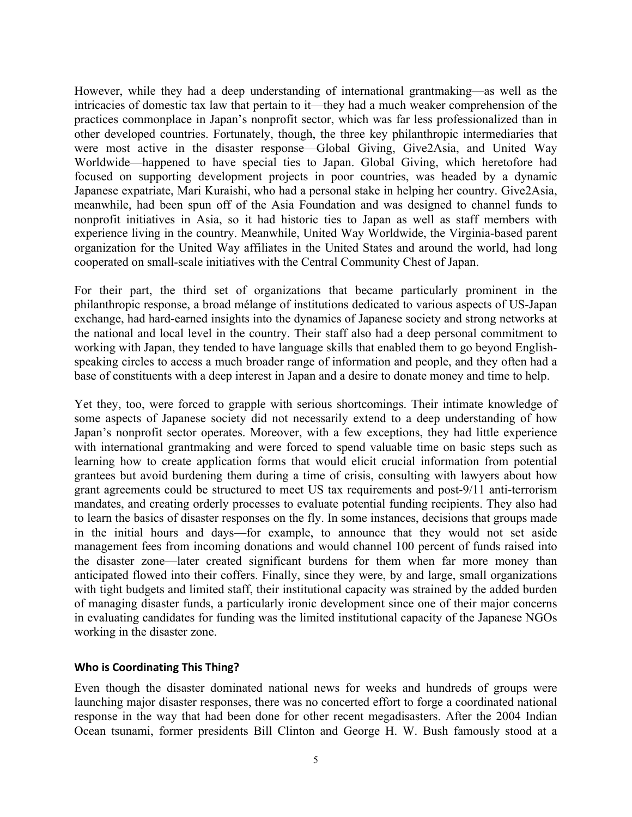However, while they had a deep understanding of international grantmaking—as well as the intricacies of domestic tax law that pertain to it—they had a much weaker comprehension of the practices commonplace in Japan's nonprofit sector, which was far less professionalized than in other developed countries. Fortunately, though, the three key philanthropic intermediaries that were most active in the disaster response—Global Giving, Give2Asia, and United Way Worldwide—happened to have special ties to Japan. Global Giving, which heretofore had focused on supporting development projects in poor countries, was headed by a dynamic Japanese expatriate, Mari Kuraishi, who had a personal stake in helping her country. Give2Asia, meanwhile, had been spun off of the Asia Foundation and was designed to channel funds to nonprofit initiatives in Asia, so it had historic ties to Japan as well as staff members with experience living in the country. Meanwhile, United Way Worldwide, the Virginia-based parent organization for the United Way affiliates in the United States and around the world, had long cooperated on small-scale initiatives with the Central Community Chest of Japan.

For their part, the third set of organizations that became particularly prominent in the philanthropic response, a broad mélange of institutions dedicated to various aspects of US-Japan exchange, had hard-earned insights into the dynamics of Japanese society and strong networks at the national and local level in the country. Their staff also had a deep personal commitment to working with Japan, they tended to have language skills that enabled them to go beyond Englishspeaking circles to access a much broader range of information and people, and they often had a base of constituents with a deep interest in Japan and a desire to donate money and time to help.

Yet they, too, were forced to grapple with serious shortcomings. Their intimate knowledge of some aspects of Japanese society did not necessarily extend to a deep understanding of how Japan's nonprofit sector operates. Moreover, with a few exceptions, they had little experience with international grantmaking and were forced to spend valuable time on basic steps such as learning how to create application forms that would elicit crucial information from potential grantees but avoid burdening them during a time of crisis, consulting with lawyers about how grant agreements could be structured to meet US tax requirements and post-9/11 anti-terrorism mandates, and creating orderly processes to evaluate potential funding recipients. They also had to learn the basics of disaster responses on the fly. In some instances, decisions that groups made in the initial hours and days—for example, to announce that they would not set aside management fees from incoming donations and would channel 100 percent of funds raised into the disaster zone—later created significant burdens for them when far more money than anticipated flowed into their coffers. Finally, since they were, by and large, small organizations with tight budgets and limited staff, their institutional capacity was strained by the added burden of managing disaster funds, a particularly ironic development since one of their major concerns in evaluating candidates for funding was the limited institutional capacity of the Japanese NGOs working in the disaster zone.

# **Who is Coordinating This Thing?**

Even though the disaster dominated national news for weeks and hundreds of groups were launching major disaster responses, there was no concerted effort to forge a coordinated national response in the way that had been done for other recent megadisasters. After the 2004 Indian Ocean tsunami, former presidents Bill Clinton and George H. W. Bush famously stood at a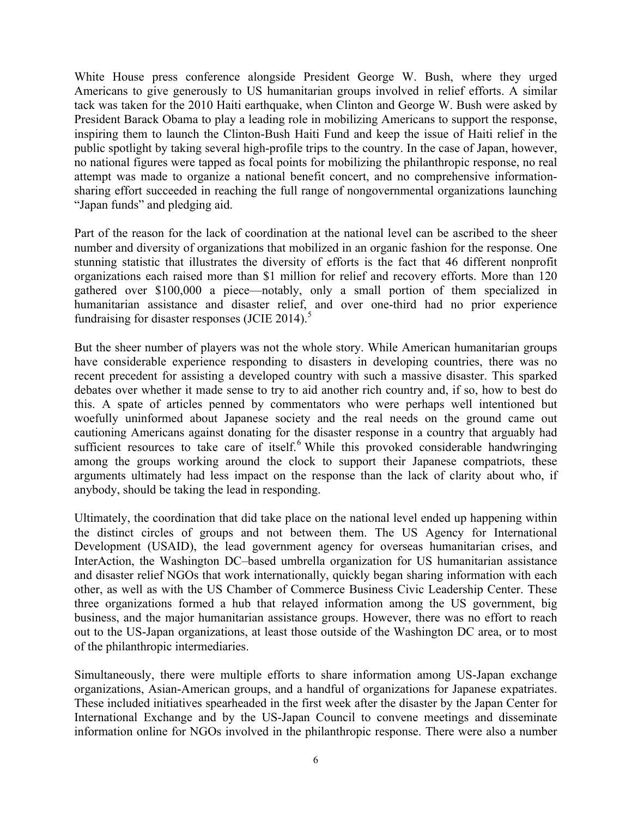White House press conference alongside President George W. Bush, where they urged Americans to give generously to US humanitarian groups involved in relief efforts. A similar tack was taken for the 2010 Haiti earthquake, when Clinton and George W. Bush were asked by President Barack Obama to play a leading role in mobilizing Americans to support the response, inspiring them to launch the Clinton-Bush Haiti Fund and keep the issue of Haiti relief in the public spotlight by taking several high-profile trips to the country. In the case of Japan, however, no national figures were tapped as focal points for mobilizing the philanthropic response, no real attempt was made to organize a national benefit concert, and no comprehensive informationsharing effort succeeded in reaching the full range of nongovernmental organizations launching "Japan funds" and pledging aid.

Part of the reason for the lack of coordination at the national level can be ascribed to the sheer number and diversity of organizations that mobilized in an organic fashion for the response. One stunning statistic that illustrates the diversity of efforts is the fact that 46 different nonprofit organizations each raised more than \$1 million for relief and recovery efforts. More than 120 gathered over \$100,000 a piece—notably, only a small portion of them specialized in humanitarian assistance and disaster relief, and over one-third had no prior experience fundraising for disaster responses (JCIE 2014).<sup>5</sup>

But the sheer number of players was not the whole story. While American humanitarian groups have considerable experience responding to disasters in developing countries, there was no recent precedent for assisting a developed country with such a massive disaster. This sparked debates over whether it made sense to try to aid another rich country and, if so, how to best do this. A spate of articles penned by commentators who were perhaps well intentioned but woefully uninformed about Japanese society and the real needs on the ground came out cautioning Americans against donating for the disaster response in a country that arguably had sufficient resources to take care of itself.<sup>6</sup> While this provoked considerable handwringing among the groups working around the clock to support their Japanese compatriots, these arguments ultimately had less impact on the response than the lack of clarity about who, if anybody, should be taking the lead in responding.

Ultimately, the coordination that did take place on the national level ended up happening within the distinct circles of groups and not between them. The US Agency for International Development (USAID), the lead government agency for overseas humanitarian crises, and InterAction, the Washington DC–based umbrella organization for US humanitarian assistance and disaster relief NGOs that work internationally, quickly began sharing information with each other, as well as with the US Chamber of Commerce Business Civic Leadership Center. These three organizations formed a hub that relayed information among the US government, big business, and the major humanitarian assistance groups. However, there was no effort to reach out to the US-Japan organizations, at least those outside of the Washington DC area, or to most of the philanthropic intermediaries.

Simultaneously, there were multiple efforts to share information among US-Japan exchange organizations, Asian-American groups, and a handful of organizations for Japanese expatriates. These included initiatives spearheaded in the first week after the disaster by the Japan Center for International Exchange and by the US-Japan Council to convene meetings and disseminate information online for NGOs involved in the philanthropic response. There were also a number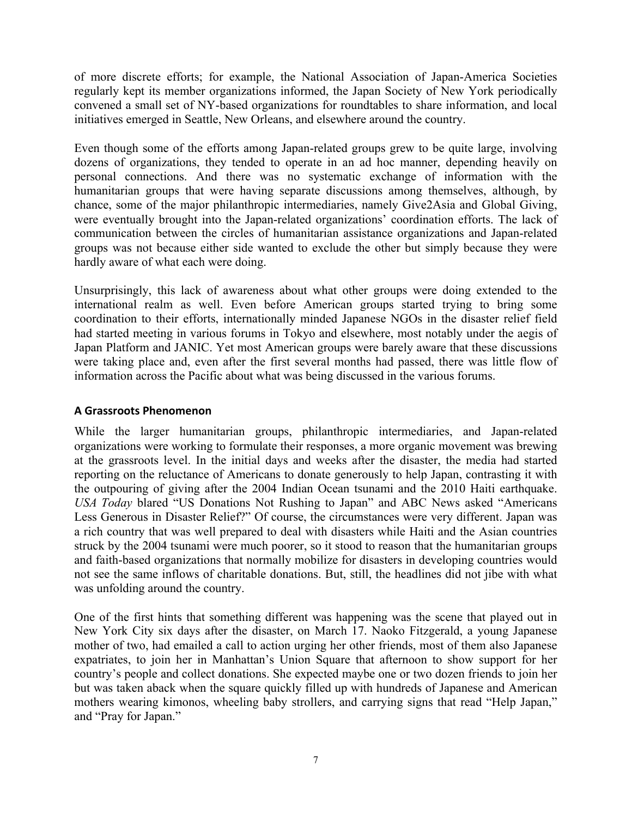of more discrete efforts; for example, the National Association of Japan-America Societies regularly kept its member organizations informed, the Japan Society of New York periodically convened a small set of NY-based organizations for roundtables to share information, and local initiatives emerged in Seattle, New Orleans, and elsewhere around the country.

Even though some of the efforts among Japan-related groups grew to be quite large, involving dozens of organizations, they tended to operate in an ad hoc manner, depending heavily on personal connections. And there was no systematic exchange of information with the humanitarian groups that were having separate discussions among themselves, although, by chance, some of the major philanthropic intermediaries, namely Give2Asia and Global Giving, were eventually brought into the Japan-related organizations' coordination efforts. The lack of communication between the circles of humanitarian assistance organizations and Japan-related groups was not because either side wanted to exclude the other but simply because they were hardly aware of what each were doing.

Unsurprisingly, this lack of awareness about what other groups were doing extended to the international realm as well. Even before American groups started trying to bring some coordination to their efforts, internationally minded Japanese NGOs in the disaster relief field had started meeting in various forums in Tokyo and elsewhere, most notably under the aegis of Japan Platform and JANIC. Yet most American groups were barely aware that these discussions were taking place and, even after the first several months had passed, there was little flow of information across the Pacific about what was being discussed in the various forums.

# **A Grassroots Phenomenon**

While the larger humanitarian groups, philanthropic intermediaries, and Japan-related organizations were working to formulate their responses, a more organic movement was brewing at the grassroots level. In the initial days and weeks after the disaster, the media had started reporting on the reluctance of Americans to donate generously to help Japan, contrasting it with the outpouring of giving after the 2004 Indian Ocean tsunami and the 2010 Haiti earthquake. *USA Today* blared "US Donations Not Rushing to Japan" and ABC News asked "Americans Less Generous in Disaster Relief?" Of course, the circumstances were very different. Japan was a rich country that was well prepared to deal with disasters while Haiti and the Asian countries struck by the 2004 tsunami were much poorer, so it stood to reason that the humanitarian groups and faith-based organizations that normally mobilize for disasters in developing countries would not see the same inflows of charitable donations. But, still, the headlines did not jibe with what was unfolding around the country.

One of the first hints that something different was happening was the scene that played out in New York City six days after the disaster, on March 17. Naoko Fitzgerald, a young Japanese mother of two, had emailed a call to action urging her other friends, most of them also Japanese expatriates, to join her in Manhattan's Union Square that afternoon to show support for her country's people and collect donations. She expected maybe one or two dozen friends to join her but was taken aback when the square quickly filled up with hundreds of Japanese and American mothers wearing kimonos, wheeling baby strollers, and carrying signs that read "Help Japan," and "Pray for Japan."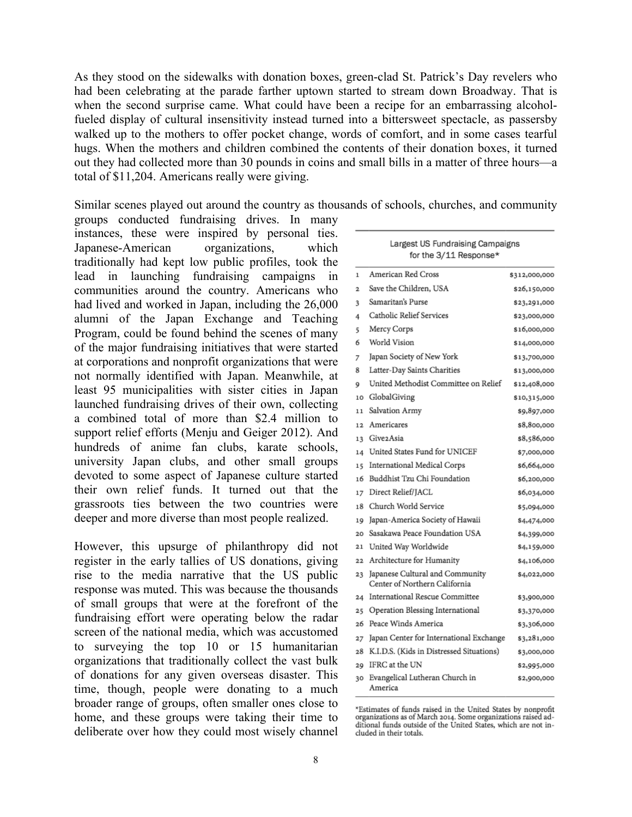As they stood on the sidewalks with donation boxes, green-clad St. Patrick's Day revelers who had been celebrating at the parade farther uptown started to stream down Broadway. That is when the second surprise came. What could have been a recipe for an embarrassing alcoholfueled display of cultural insensitivity instead turned into a bittersweet spectacle, as passersby walked up to the mothers to offer pocket change, words of comfort, and in some cases tearful hugs. When the mothers and children combined the contents of their donation boxes, it turned out they had collected more than 30 pounds in coins and small bills in a matter of three hours—a total of \$11,204. Americans really were giving.

Similar scenes played out around the country as thousands of schools, churches, and community

groups conducted fundraising drives. In many instances, these were inspired by personal ties. Japanese-American organizations, which traditionally had kept low public profiles, took the lead in launching fundraising campaigns in communities around the country. Americans who had lived and worked in Japan, including the 26,000 alumni of the Japan Exchange and Teaching Program, could be found behind the scenes of many of the major fundraising initiatives that were started at corporations and nonprofit organizations that were not normally identified with Japan. Meanwhile, at least 95 municipalities with sister cities in Japan launched fundraising drives of their own, collecting a combined total of more than \$2.4 million to support relief efforts (Menju and Geiger 2012). And hundreds of anime fan clubs, karate schools, university Japan clubs, and other small groups devoted to some aspect of Japanese culture started their own relief funds. It turned out that the grassroots ties between the two countries were deeper and more diverse than most people realized.

However, this upsurge of philanthropy did not register in the early tallies of US donations, giving rise to the media narrative that the US public response was muted. This was because the thousands of small groups that were at the forefront of the fundraising effort were operating below the radar screen of the national media, which was accustomed to surveying the top 10 or 15 humanitarian organizations that traditionally collect the vast bulk of donations for any given overseas disaster. This time, though, people were donating to a much broader range of groups, often smaller ones close to home, and these groups were taking their time to deliberate over how they could most wisely channel

| Largest US Fundraising Campaigns<br>for the 3/11 Response* |                                                                  |               |
|------------------------------------------------------------|------------------------------------------------------------------|---------------|
| 1                                                          | American Red Cross                                               | \$312,000,000 |
| $\overline{a}$                                             | Save the Children. USA                                           | \$26,150,000  |
| 3                                                          | Samaritan's Purse                                                | \$23,291,000  |
| 4                                                          | Catholic Relief Services                                         | \$23,000,000  |
| 5                                                          | Mercy Corps                                                      | \$16,000,000  |
| 6                                                          | World Vision                                                     | \$14,000,000  |
| 7                                                          | Japan Society of New York                                        | \$13,700,000  |
| 8                                                          | Latter-Day Saints Charities                                      | \$13,000,000  |
| 9                                                          | United Methodist Committee on Relief                             | \$12,408,000  |
| 10                                                         | GlobalGiving                                                     | \$10,315,000  |
| 11                                                         | Salvation Army                                                   | \$9,897,000   |
| 12                                                         | Americares                                                       | \$8,800,000   |
| 13                                                         | Give2Asia                                                        | \$8,586,000   |
| 14                                                         | United States Fund for UNICEF                                    | \$7,000,000   |
| 15                                                         | International Medical Corps                                      | \$6,664,000   |
| 16                                                         | Buddhist Tzu Chi Foundation                                      | \$6,200,000   |
| 17                                                         | Direct Relief/IACL                                               | \$6,034,000   |
| 18                                                         | Church World Service                                             | \$5,094,000   |
| 19                                                         | Japan-America Society of Hawaii                                  | \$4,474,000   |
| 20                                                         | Sasakawa Peace Foundation USA                                    | \$4,399,000   |
| $^{21}$                                                    | United Way Worldwide                                             | \$4,159,000   |
| 22                                                         | Architecture for Humanity                                        | \$4,106,000   |
| 23                                                         | Japanese Cultural and Community<br>Center of Northern California | \$4,022,000   |
| 24                                                         | International Rescue Committee                                   | \$3,900,000   |
| 25                                                         | Operation Blessing International                                 | \$3,370,000   |
| 26                                                         | Peace Winds America                                              | \$3,306,000   |
| 27                                                         | Japan Center for International Exchange                          | \$3,281,000   |
| 28                                                         | K.I.D.S. (Kids in Distressed Situations)                         | \$3,000,000   |
| 29                                                         | IFRC at the UN                                                   | \$2,995,000   |
| 30                                                         | Evangelical Lutheran Church in<br>America                        | \$2,900,000   |

<sup>\*</sup>Estimates of funds raised in the United States by nonprofit<br>organizations as of March 2014. Some organizations raised additional funds outside of the United States, which are not included in their totals.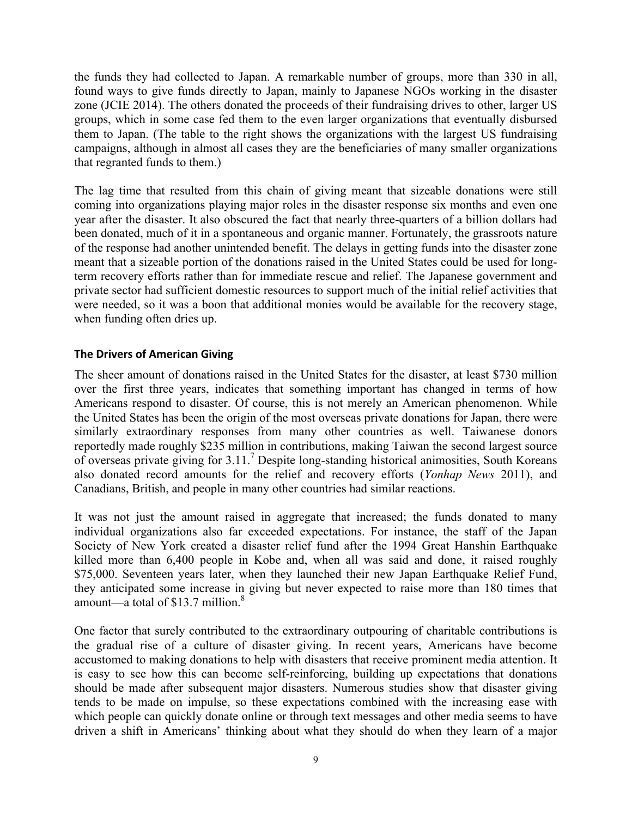the funds they had collected to Japan. A remarkable number of groups, more than 330 in all, found ways to give funds directly to Japan, mainly to Japanese NGOs working in the disaster zone (JCIE 2014). The others donated the proceeds of their fundraising drives to other, larger US groups, which in some case fed them to the even larger organizations that eventually disbursed them to Japan. (The table to the right shows the organizations with the largest US fundraising campaigns, although in almost all cases they are the beneficiaries of many smaller organizations that regranted funds to them.)

The lag time that resulted from this chain of giving meant that sizeable donations were still coming into organizations playing major roles in the disaster response six months and even one year after the disaster. It also obscured the fact that nearly three-quarters of a billion dollars had been donated, much of it in a spontaneous and organic manner. Fortunately, the grassroots nature of the response had another unintended benefit. The delays in getting funds into the disaster zone meant that a sizeable portion of the donations raised in the United States could be used for longterm recovery efforts rather than for immediate rescue and relief. The Japanese government and private sector had sufficient domestic resources to support much of the initial relief activities that were needed, so it was a boon that additional monies would be available for the recovery stage, when funding often dries up.

### **The Drivers of American Giving**

The sheer amount of donations raised in the United States for the disaster, at least \$730 million over the first three years, indicates that something important has changed in terms of how Americans respond to disaster. Of course, this is not merely an American phenomenon. While the United States has been the origin of the most overseas private donations for Japan, there were similarly extraordinary responses from many other countries as well. Taiwanese donors reportedly made roughly \$235 million in contributions, making Taiwan the second largest source of overseas private giving for 3.11.7 Despite long-standing historical animosities, South Koreans also donated record amounts for the relief and recovery efforts (*Yonhap News* 2011), and Canadians, British, and people in many other countries had similar reactions.

It was not just the amount raised in aggregate that increased; the funds donated to many individual organizations also far exceeded expectations. For instance, the staff of the Japan Society of New York created a disaster relief fund after the 1994 Great Hanshin Earthquake killed more than 6,400 people in Kobe and, when all was said and done, it raised roughly \$75,000. Seventeen years later, when they launched their new Japan Earthquake Relief Fund, they anticipated some increase in giving but never expected to raise more than 180 times that amount—a total of  $$13.7$  million.<sup>8</sup>

One factor that surely contributed to the extraordinary outpouring of charitable contributions is the gradual rise of a culture of disaster giving. In recent years, Americans have become accustomed to making donations to help with disasters that receive prominent media attention. It is easy to see how this can become self-reinforcing, building up expectations that donations should be made after subsequent major disasters. Numerous studies show that disaster giving tends to be made on impulse, so these expectations combined with the increasing ease with which people can quickly donate online or through text messages and other media seems to have driven a shift in Americans' thinking about what they should do when they learn of a major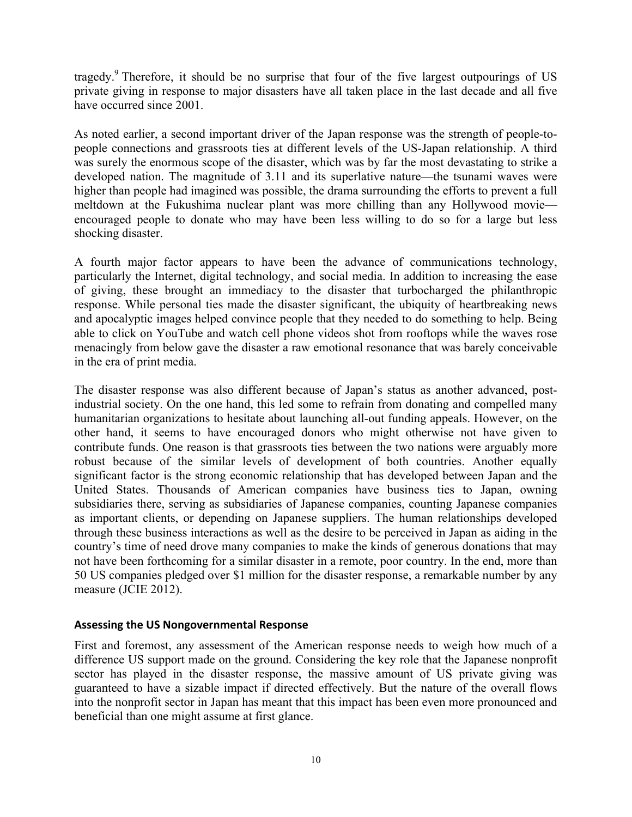tragedy.9 Therefore, it should be no surprise that four of the five largest outpourings of US private giving in response to major disasters have all taken place in the last decade and all five have occurred since 2001.

As noted earlier, a second important driver of the Japan response was the strength of people-topeople connections and grassroots ties at different levels of the US-Japan relationship. A third was surely the enormous scope of the disaster, which was by far the most devastating to strike a developed nation. The magnitude of 3.11 and its superlative nature—the tsunami waves were higher than people had imagined was possible, the drama surrounding the efforts to prevent a full meltdown at the Fukushima nuclear plant was more chilling than any Hollywood movie encouraged people to donate who may have been less willing to do so for a large but less shocking disaster.

A fourth major factor appears to have been the advance of communications technology, particularly the Internet, digital technology, and social media. In addition to increasing the ease of giving, these brought an immediacy to the disaster that turbocharged the philanthropic response. While personal ties made the disaster significant, the ubiquity of heartbreaking news and apocalyptic images helped convince people that they needed to do something to help. Being able to click on YouTube and watch cell phone videos shot from rooftops while the waves rose menacingly from below gave the disaster a raw emotional resonance that was barely conceivable in the era of print media.

The disaster response was also different because of Japan's status as another advanced, postindustrial society. On the one hand, this led some to refrain from donating and compelled many humanitarian organizations to hesitate about launching all-out funding appeals. However, on the other hand, it seems to have encouraged donors who might otherwise not have given to contribute funds. One reason is that grassroots ties between the two nations were arguably more robust because of the similar levels of development of both countries. Another equally significant factor is the strong economic relationship that has developed between Japan and the United States. Thousands of American companies have business ties to Japan, owning subsidiaries there, serving as subsidiaries of Japanese companies, counting Japanese companies as important clients, or depending on Japanese suppliers. The human relationships developed through these business interactions as well as the desire to be perceived in Japan as aiding in the country's time of need drove many companies to make the kinds of generous donations that may not have been forthcoming for a similar disaster in a remote, poor country. In the end, more than 50 US companies pledged over \$1 million for the disaster response, a remarkable number by any measure (JCIE 2012).

# **Assessing the US Nongovernmental Response**

First and foremost, any assessment of the American response needs to weigh how much of a difference US support made on the ground. Considering the key role that the Japanese nonprofit sector has played in the disaster response, the massive amount of US private giving was guaranteed to have a sizable impact if directed effectively. But the nature of the overall flows into the nonprofit sector in Japan has meant that this impact has been even more pronounced and beneficial than one might assume at first glance.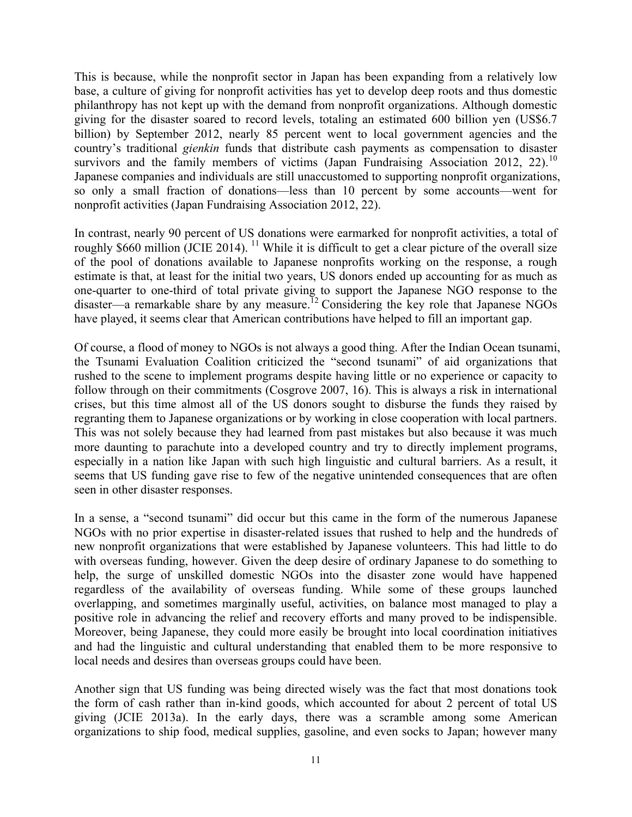This is because, while the nonprofit sector in Japan has been expanding from a relatively low base, a culture of giving for nonprofit activities has yet to develop deep roots and thus domestic philanthropy has not kept up with the demand from nonprofit organizations. Although domestic giving for the disaster soared to record levels, totaling an estimated 600 billion yen (US\$6.7 billion) by September 2012, nearly 85 percent went to local government agencies and the country's traditional *gienkin* funds that distribute cash payments as compensation to disaster survivors and the family members of victims (Japan Fundraising Association 2012, 22).<sup>10</sup> Japanese companies and individuals are still unaccustomed to supporting nonprofit organizations, so only a small fraction of donations—less than 10 percent by some accounts—went for nonprofit activities (Japan Fundraising Association 2012, 22).

In contrast, nearly 90 percent of US donations were earmarked for nonprofit activities, a total of roughly \$660 million (JCIE 2014).<sup>11</sup> While it is difficult to get a clear picture of the overall size of the pool of donations available to Japanese nonprofits working on the response, a rough estimate is that, at least for the initial two years, US donors ended up accounting for as much as one-quarter to one-third of total private giving to support the Japanese NGO response to the disaster—a remarkable share by any measure.<sup>12</sup> Considering the key role that Japanese NGOs have played, it seems clear that American contributions have helped to fill an important gap.

Of course, a flood of money to NGOs is not always a good thing. After the Indian Ocean tsunami, the Tsunami Evaluation Coalition criticized the "second tsunami" of aid organizations that rushed to the scene to implement programs despite having little or no experience or capacity to follow through on their commitments (Cosgrove 2007, 16). This is always a risk in international crises, but this time almost all of the US donors sought to disburse the funds they raised by regranting them to Japanese organizations or by working in close cooperation with local partners. This was not solely because they had learned from past mistakes but also because it was much more daunting to parachute into a developed country and try to directly implement programs, especially in a nation like Japan with such high linguistic and cultural barriers. As a result, it seems that US funding gave rise to few of the negative unintended consequences that are often seen in other disaster responses.

In a sense, a "second tsunami" did occur but this came in the form of the numerous Japanese NGOs with no prior expertise in disaster-related issues that rushed to help and the hundreds of new nonprofit organizations that were established by Japanese volunteers. This had little to do with overseas funding, however. Given the deep desire of ordinary Japanese to do something to help, the surge of unskilled domestic NGOs into the disaster zone would have happened regardless of the availability of overseas funding. While some of these groups launched overlapping, and sometimes marginally useful, activities, on balance most managed to play a positive role in advancing the relief and recovery efforts and many proved to be indispensible. Moreover, being Japanese, they could more easily be brought into local coordination initiatives and had the linguistic and cultural understanding that enabled them to be more responsive to local needs and desires than overseas groups could have been.

Another sign that US funding was being directed wisely was the fact that most donations took the form of cash rather than in-kind goods, which accounted for about 2 percent of total US giving (JCIE 2013a). In the early days, there was a scramble among some American organizations to ship food, medical supplies, gasoline, and even socks to Japan; however many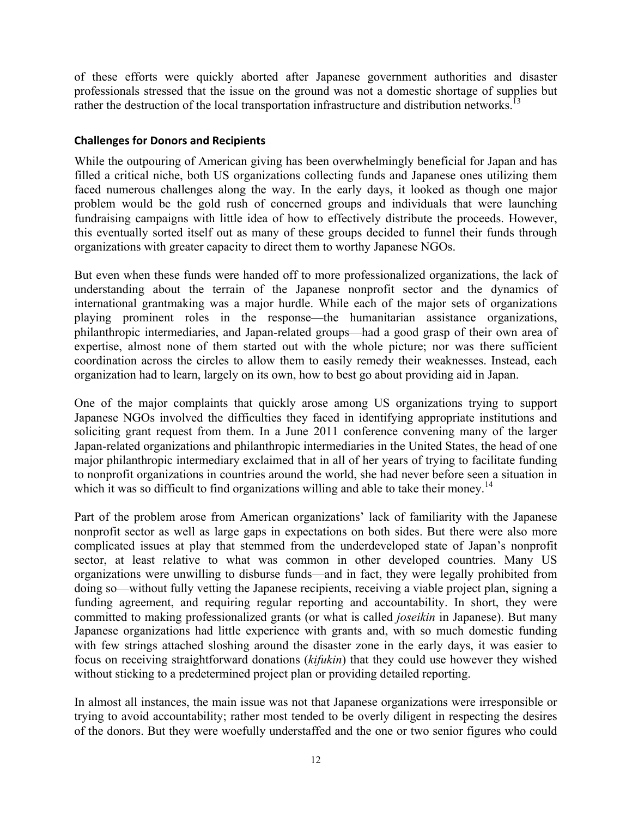of these efforts were quickly aborted after Japanese government authorities and disaster professionals stressed that the issue on the ground was not a domestic shortage of supplies but rather the destruction of the local transportation infrastructure and distribution networks.<sup>13</sup>

# **Challenges for Donors and Recipients**

While the outpouring of American giving has been overwhelmingly beneficial for Japan and has filled a critical niche, both US organizations collecting funds and Japanese ones utilizing them faced numerous challenges along the way. In the early days, it looked as though one major problem would be the gold rush of concerned groups and individuals that were launching fundraising campaigns with little idea of how to effectively distribute the proceeds. However, this eventually sorted itself out as many of these groups decided to funnel their funds through organizations with greater capacity to direct them to worthy Japanese NGOs.

But even when these funds were handed off to more professionalized organizations, the lack of understanding about the terrain of the Japanese nonprofit sector and the dynamics of international grantmaking was a major hurdle. While each of the major sets of organizations playing prominent roles in the response—the humanitarian assistance organizations, philanthropic intermediaries, and Japan-related groups—had a good grasp of their own area of expertise, almost none of them started out with the whole picture; nor was there sufficient coordination across the circles to allow them to easily remedy their weaknesses. Instead, each organization had to learn, largely on its own, how to best go about providing aid in Japan.

One of the major complaints that quickly arose among US organizations trying to support Japanese NGOs involved the difficulties they faced in identifying appropriate institutions and soliciting grant request from them. In a June 2011 conference convening many of the larger Japan-related organizations and philanthropic intermediaries in the United States, the head of one major philanthropic intermediary exclaimed that in all of her years of trying to facilitate funding to nonprofit organizations in countries around the world, she had never before seen a situation in which it was so difficult to find organizations willing and able to take their money.<sup>14</sup>

Part of the problem arose from American organizations' lack of familiarity with the Japanese nonprofit sector as well as large gaps in expectations on both sides. But there were also more complicated issues at play that stemmed from the underdeveloped state of Japan's nonprofit sector, at least relative to what was common in other developed countries. Many US organizations were unwilling to disburse funds—and in fact, they were legally prohibited from doing so—without fully vetting the Japanese recipients, receiving a viable project plan, signing a funding agreement, and requiring regular reporting and accountability. In short, they were committed to making professionalized grants (or what is called *joseikin* in Japanese). But many Japanese organizations had little experience with grants and, with so much domestic funding with few strings attached sloshing around the disaster zone in the early days, it was easier to focus on receiving straightforward donations (*kifukin*) that they could use however they wished without sticking to a predetermined project plan or providing detailed reporting.

In almost all instances, the main issue was not that Japanese organizations were irresponsible or trying to avoid accountability; rather most tended to be overly diligent in respecting the desires of the donors. But they were woefully understaffed and the one or two senior figures who could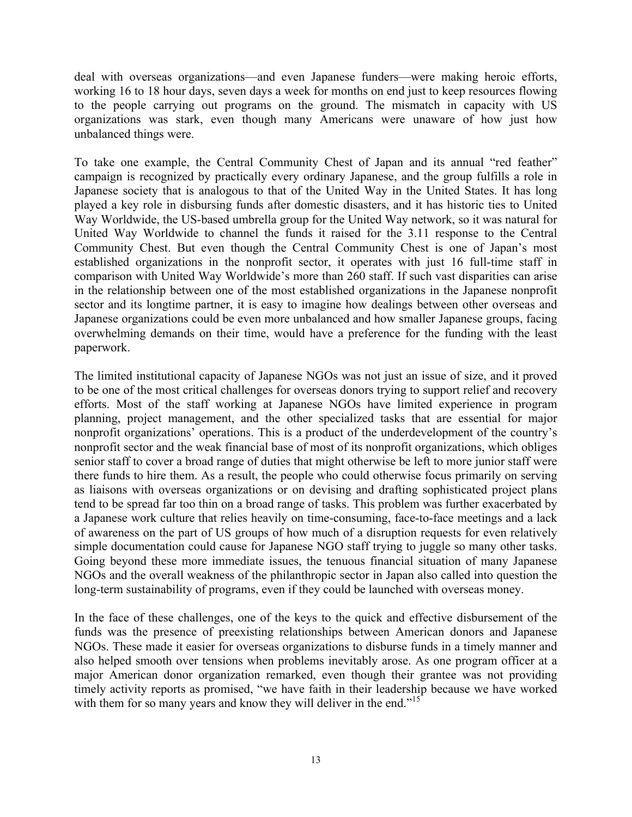deal with overseas organizations—and even Japanese funders—were making heroic efforts, working 16 to 18 hour days, seven days a week for months on end just to keep resources flowing to the people carrying out programs on the ground. The mismatch in capacity with US organizations was stark, even though many Americans were unaware of how just how unbalanced things were.

To take one example, the Central Community Chest of Japan and its annual "red feather" campaign is recognized by practically every ordinary Japanese, and the group fulfills a role in Japanese society that is analogous to that of the United Way in the United States. It has long played a key role in disbursing funds after domestic disasters, and it has historic ties to United Way Worldwide, the US-based umbrella group for the United Way network, so it was natural for United Way Worldwide to channel the funds it raised for the 3.11 response to the Central Community Chest. But even though the Central Community Chest is one of Japan's most established organizations in the nonprofit sector, it operates with just 16 full-time staff in comparison with United Way Worldwide's more than 260 staff. If such vast disparities can arise in the relationship between one of the most established organizations in the Japanese nonprofit sector and its longtime partner, it is easy to imagine how dealings between other overseas and Japanese organizations could be even more unbalanced and how smaller Japanese groups, facing overwhelming demands on their time, would have a preference for the funding with the least paperwork.

The limited institutional capacity of Japanese NGOs was not just an issue of size, and it proved to be one of the most critical challenges for overseas donors trying to support relief and recovery efforts. Most of the staff working at Japanese NGOs have limited experience in program planning, project management, and the other specialized tasks that are essential for major nonprofit organizations' operations. This is a product of the underdevelopment of the country's nonprofit sector and the weak financial base of most of its nonprofit organizations, which obliges senior staff to cover a broad range of duties that might otherwise be left to more junior staff were there funds to hire them. As a result, the people who could otherwise focus primarily on serving as liaisons with overseas organizations or on devising and drafting sophisticated project plans tend to be spread far too thin on a broad range of tasks. This problem was further exacerbated by a Japanese work culture that relies heavily on time-consuming, face-to-face meetings and a lack of awareness on the part of US groups of how much of a disruption requests for even relatively simple documentation could cause for Japanese NGO staff trying to juggle so many other tasks. Going beyond these more immediate issues, the tenuous financial situation of many Japanese NGOs and the overall weakness of the philanthropic sector in Japan also called into question the long-term sustainability of programs, even if they could be launched with overseas money.

In the face of these challenges, one of the keys to the quick and effective disbursement of the funds was the presence of preexisting relationships between American donors and Japanese NGOs. These made it easier for overseas organizations to disburse funds in a timely manner and also helped smooth over tensions when problems inevitably arose. As one program officer at a major American donor organization remarked, even though their grantee was not providing timely activity reports as promised, "we have faith in their leadership because we have worked with them for so many years and know they will deliver in the end."<sup>15</sup>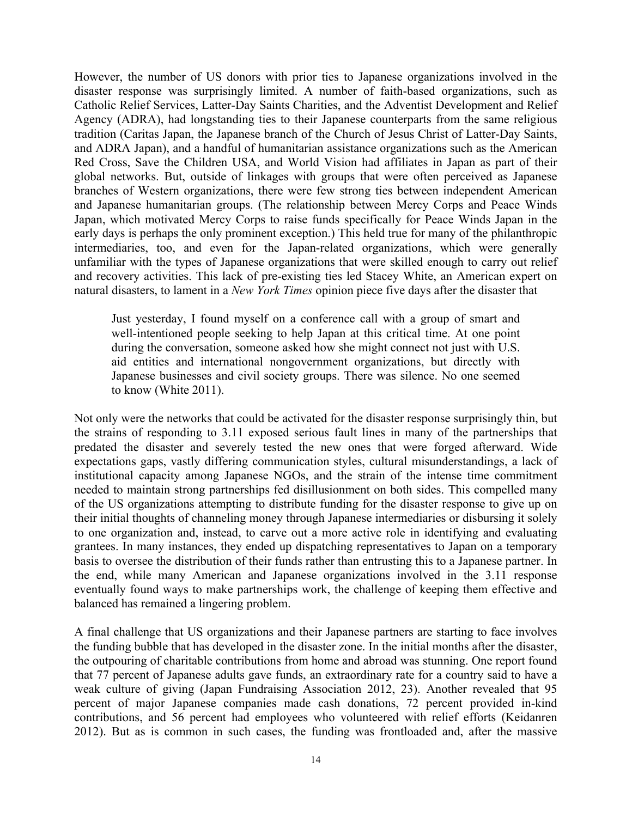However, the number of US donors with prior ties to Japanese organizations involved in the disaster response was surprisingly limited. A number of faith-based organizations, such as Catholic Relief Services, Latter-Day Saints Charities, and the Adventist Development and Relief Agency (ADRA), had longstanding ties to their Japanese counterparts from the same religious tradition (Caritas Japan, the Japanese branch of the Church of Jesus Christ of Latter-Day Saints, and ADRA Japan), and a handful of humanitarian assistance organizations such as the American Red Cross, Save the Children USA, and World Vision had affiliates in Japan as part of their global networks. But, outside of linkages with groups that were often perceived as Japanese branches of Western organizations, there were few strong ties between independent American and Japanese humanitarian groups. (The relationship between Mercy Corps and Peace Winds Japan, which motivated Mercy Corps to raise funds specifically for Peace Winds Japan in the early days is perhaps the only prominent exception.) This held true for many of the philanthropic intermediaries, too, and even for the Japan-related organizations, which were generally unfamiliar with the types of Japanese organizations that were skilled enough to carry out relief and recovery activities. This lack of pre-existing ties led Stacey White, an American expert on natural disasters, to lament in a *New York Times* opinion piece five days after the disaster that

Just yesterday, I found myself on a conference call with a group of smart and well-intentioned people seeking to help Japan at this critical time. At one point during the conversation, someone asked how she might connect not just with U.S. aid entities and international nongovernment organizations, but directly with Japanese businesses and civil society groups. There was silence. No one seemed to know (White 2011).

Not only were the networks that could be activated for the disaster response surprisingly thin, but the strains of responding to 3.11 exposed serious fault lines in many of the partnerships that predated the disaster and severely tested the new ones that were forged afterward. Wide expectations gaps, vastly differing communication styles, cultural misunderstandings, a lack of institutional capacity among Japanese NGOs, and the strain of the intense time commitment needed to maintain strong partnerships fed disillusionment on both sides. This compelled many of the US organizations attempting to distribute funding for the disaster response to give up on their initial thoughts of channeling money through Japanese intermediaries or disbursing it solely to one organization and, instead, to carve out a more active role in identifying and evaluating grantees. In many instances, they ended up dispatching representatives to Japan on a temporary basis to oversee the distribution of their funds rather than entrusting this to a Japanese partner. In the end, while many American and Japanese organizations involved in the 3.11 response eventually found ways to make partnerships work, the challenge of keeping them effective and balanced has remained a lingering problem.

A final challenge that US organizations and their Japanese partners are starting to face involves the funding bubble that has developed in the disaster zone. In the initial months after the disaster, the outpouring of charitable contributions from home and abroad was stunning. One report found that 77 percent of Japanese adults gave funds, an extraordinary rate for a country said to have a weak culture of giving (Japan Fundraising Association 2012, 23). Another revealed that 95 percent of major Japanese companies made cash donations, 72 percent provided in-kind contributions, and 56 percent had employees who volunteered with relief efforts (Keidanren 2012). But as is common in such cases, the funding was frontloaded and, after the massive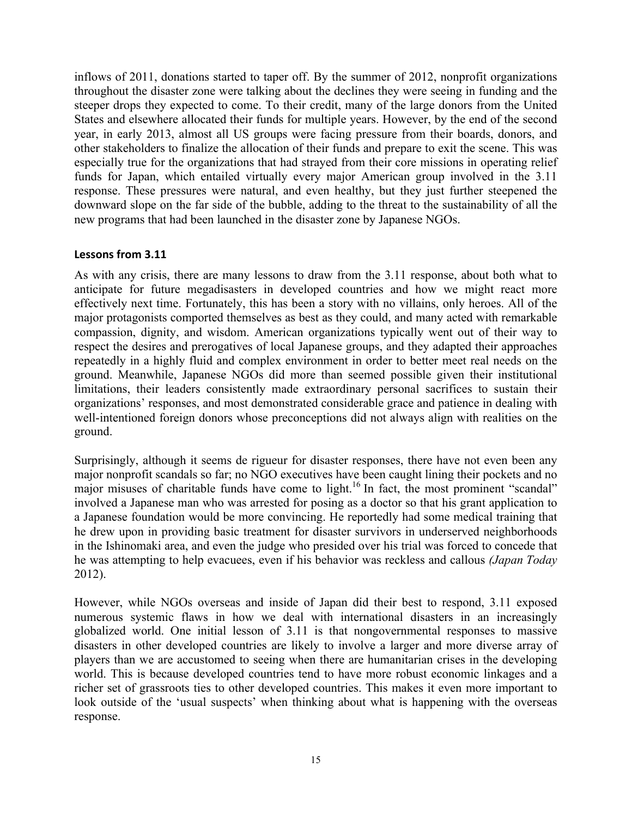inflows of 2011, donations started to taper off. By the summer of 2012, nonprofit organizations throughout the disaster zone were talking about the declines they were seeing in funding and the steeper drops they expected to come. To their credit, many of the large donors from the United States and elsewhere allocated their funds for multiple years. However, by the end of the second year, in early 2013, almost all US groups were facing pressure from their boards, donors, and other stakeholders to finalize the allocation of their funds and prepare to exit the scene. This was especially true for the organizations that had strayed from their core missions in operating relief funds for Japan, which entailed virtually every major American group involved in the 3.11 response. These pressures were natural, and even healthy, but they just further steepened the downward slope on the far side of the bubble, adding to the threat to the sustainability of all the new programs that had been launched in the disaster zone by Japanese NGOs.

# Lessons from 3.11

As with any crisis, there are many lessons to draw from the 3.11 response, about both what to anticipate for future megadisasters in developed countries and how we might react more effectively next time. Fortunately, this has been a story with no villains, only heroes. All of the major protagonists comported themselves as best as they could, and many acted with remarkable compassion, dignity, and wisdom. American organizations typically went out of their way to respect the desires and prerogatives of local Japanese groups, and they adapted their approaches repeatedly in a highly fluid and complex environment in order to better meet real needs on the ground. Meanwhile, Japanese NGOs did more than seemed possible given their institutional limitations, their leaders consistently made extraordinary personal sacrifices to sustain their organizations' responses, and most demonstrated considerable grace and patience in dealing with well-intentioned foreign donors whose preconceptions did not always align with realities on the ground.

Surprisingly, although it seems de rigueur for disaster responses, there have not even been any major nonprofit scandals so far; no NGO executives have been caught lining their pockets and no major misuses of charitable funds have come to light.<sup>16</sup> In fact, the most prominent "scandal" involved a Japanese man who was arrested for posing as a doctor so that his grant application to a Japanese foundation would be more convincing. He reportedly had some medical training that he drew upon in providing basic treatment for disaster survivors in underserved neighborhoods in the Ishinomaki area, and even the judge who presided over his trial was forced to concede that he was attempting to help evacuees, even if his behavior was reckless and callous *(Japan Today* 2012).

However, while NGOs overseas and inside of Japan did their best to respond, 3.11 exposed numerous systemic flaws in how we deal with international disasters in an increasingly globalized world. One initial lesson of 3.11 is that nongovernmental responses to massive disasters in other developed countries are likely to involve a larger and more diverse array of players than we are accustomed to seeing when there are humanitarian crises in the developing world. This is because developed countries tend to have more robust economic linkages and a richer set of grassroots ties to other developed countries. This makes it even more important to look outside of the 'usual suspects' when thinking about what is happening with the overseas response.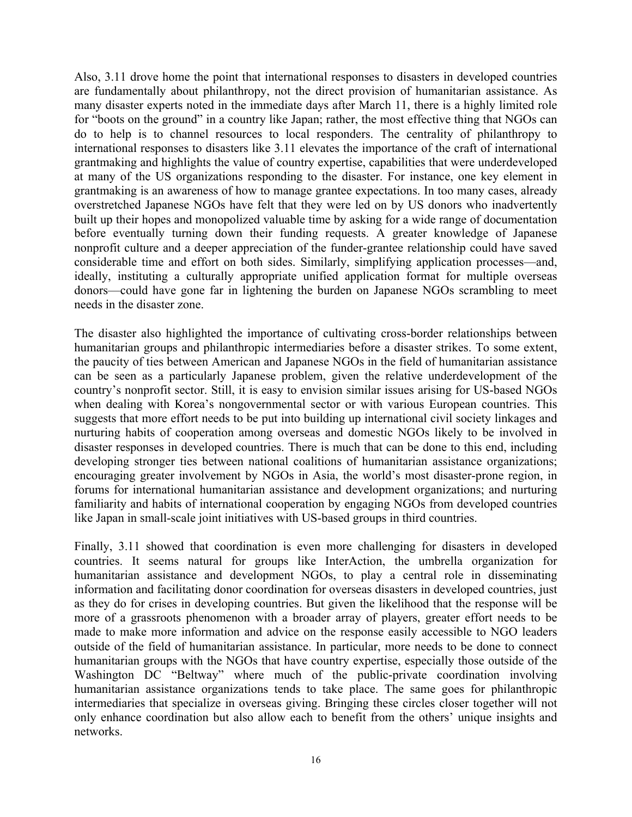Also, 3.11 drove home the point that international responses to disasters in developed countries are fundamentally about philanthropy, not the direct provision of humanitarian assistance. As many disaster experts noted in the immediate days after March 11, there is a highly limited role for "boots on the ground" in a country like Japan; rather, the most effective thing that NGOs can do to help is to channel resources to local responders. The centrality of philanthropy to international responses to disasters like 3.11 elevates the importance of the craft of international grantmaking and highlights the value of country expertise, capabilities that were underdeveloped at many of the US organizations responding to the disaster. For instance, one key element in grantmaking is an awareness of how to manage grantee expectations. In too many cases, already overstretched Japanese NGOs have felt that they were led on by US donors who inadvertently built up their hopes and monopolized valuable time by asking for a wide range of documentation before eventually turning down their funding requests. A greater knowledge of Japanese nonprofit culture and a deeper appreciation of the funder-grantee relationship could have saved considerable time and effort on both sides. Similarly, simplifying application processes—and, ideally, instituting a culturally appropriate unified application format for multiple overseas donors—could have gone far in lightening the burden on Japanese NGOs scrambling to meet needs in the disaster zone.

The disaster also highlighted the importance of cultivating cross-border relationships between humanitarian groups and philanthropic intermediaries before a disaster strikes. To some extent, the paucity of ties between American and Japanese NGOs in the field of humanitarian assistance can be seen as a particularly Japanese problem, given the relative underdevelopment of the country's nonprofit sector. Still, it is easy to envision similar issues arising for US-based NGOs when dealing with Korea's nongovernmental sector or with various European countries. This suggests that more effort needs to be put into building up international civil society linkages and nurturing habits of cooperation among overseas and domestic NGOs likely to be involved in disaster responses in developed countries. There is much that can be done to this end, including developing stronger ties between national coalitions of humanitarian assistance organizations; encouraging greater involvement by NGOs in Asia, the world's most disaster-prone region, in forums for international humanitarian assistance and development organizations; and nurturing familiarity and habits of international cooperation by engaging NGOs from developed countries like Japan in small-scale joint initiatives with US-based groups in third countries.

Finally, 3.11 showed that coordination is even more challenging for disasters in developed countries. It seems natural for groups like InterAction, the umbrella organization for humanitarian assistance and development NGOs, to play a central role in disseminating information and facilitating donor coordination for overseas disasters in developed countries, just as they do for crises in developing countries. But given the likelihood that the response will be more of a grassroots phenomenon with a broader array of players, greater effort needs to be made to make more information and advice on the response easily accessible to NGO leaders outside of the field of humanitarian assistance. In particular, more needs to be done to connect humanitarian groups with the NGOs that have country expertise, especially those outside of the Washington DC "Beltway" where much of the public-private coordination involving humanitarian assistance organizations tends to take place. The same goes for philanthropic intermediaries that specialize in overseas giving. Bringing these circles closer together will not only enhance coordination but also allow each to benefit from the others' unique insights and networks.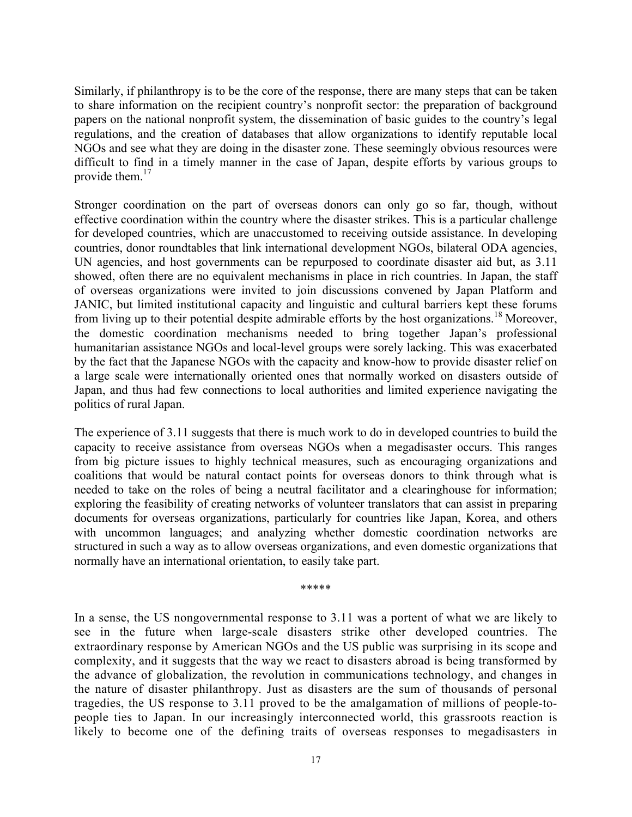Similarly, if philanthropy is to be the core of the response, there are many steps that can be taken to share information on the recipient country's nonprofit sector: the preparation of background papers on the national nonprofit system, the dissemination of basic guides to the country's legal regulations, and the creation of databases that allow organizations to identify reputable local NGOs and see what they are doing in the disaster zone. These seemingly obvious resources were difficult to find in a timely manner in the case of Japan, despite efforts by various groups to provide them. $17$ 

Stronger coordination on the part of overseas donors can only go so far, though, without effective coordination within the country where the disaster strikes. This is a particular challenge for developed countries, which are unaccustomed to receiving outside assistance. In developing countries, donor roundtables that link international development NGOs, bilateral ODA agencies, UN agencies, and host governments can be repurposed to coordinate disaster aid but, as 3.11 showed, often there are no equivalent mechanisms in place in rich countries. In Japan, the staff of overseas organizations were invited to join discussions convened by Japan Platform and JANIC, but limited institutional capacity and linguistic and cultural barriers kept these forums from living up to their potential despite admirable efforts by the host organizations.<sup>18</sup> Moreover, the domestic coordination mechanisms needed to bring together Japan's professional humanitarian assistance NGOs and local-level groups were sorely lacking. This was exacerbated by the fact that the Japanese NGOs with the capacity and know-how to provide disaster relief on a large scale were internationally oriented ones that normally worked on disasters outside of Japan, and thus had few connections to local authorities and limited experience navigating the politics of rural Japan.

The experience of 3.11 suggests that there is much work to do in developed countries to build the capacity to receive assistance from overseas NGOs when a megadisaster occurs. This ranges from big picture issues to highly technical measures, such as encouraging organizations and coalitions that would be natural contact points for overseas donors to think through what is needed to take on the roles of being a neutral facilitator and a clearinghouse for information; exploring the feasibility of creating networks of volunteer translators that can assist in preparing documents for overseas organizations, particularly for countries like Japan, Korea, and others with uncommon languages; and analyzing whether domestic coordination networks are structured in such a way as to allow overseas organizations, and even domestic organizations that normally have an international orientation, to easily take part.

\*\*\*\*\*

In a sense, the US nongovernmental response to 3.11 was a portent of what we are likely to see in the future when large-scale disasters strike other developed countries. The extraordinary response by American NGOs and the US public was surprising in its scope and complexity, and it suggests that the way we react to disasters abroad is being transformed by the advance of globalization, the revolution in communications technology, and changes in the nature of disaster philanthropy. Just as disasters are the sum of thousands of personal tragedies, the US response to 3.11 proved to be the amalgamation of millions of people-topeople ties to Japan. In our increasingly interconnected world, this grassroots reaction is likely to become one of the defining traits of overseas responses to megadisasters in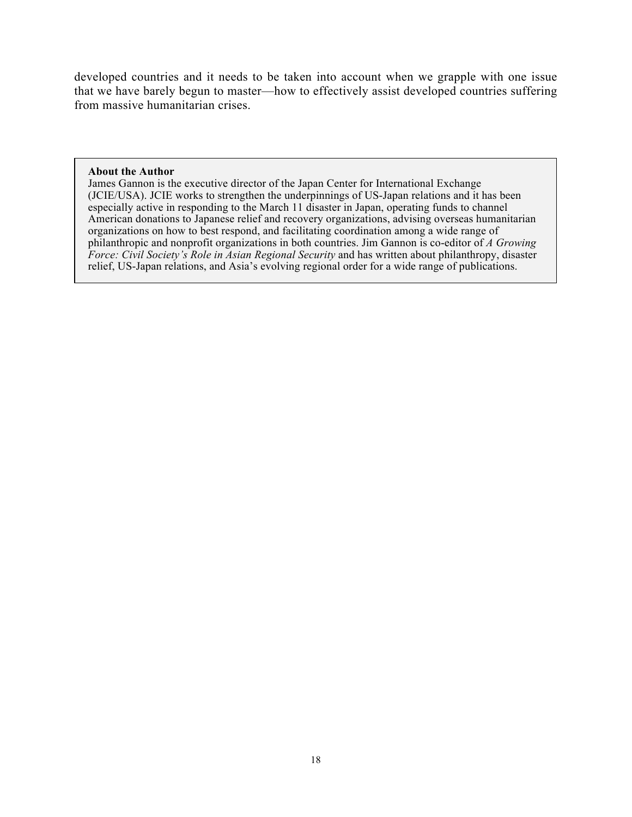developed countries and it needs to be taken into account when we grapple with one issue that we have barely begun to master—how to effectively assist developed countries suffering from massive humanitarian crises.

#### **About the Author**

James Gannon is the executive director of the Japan Center for International Exchange (JCIE/USA). JCIE works to strengthen the underpinnings of US-Japan relations and it has been especially active in responding to the March 11 disaster in Japan, operating funds to channel American donations to Japanese relief and recovery organizations, advising overseas humanitarian organizations on how to best respond, and facilitating coordination among a wide range of philanthropic and nonprofit organizations in both countries. Jim Gannon is co-editor of *A Growing Force: Civil Society's Role in Asian Regional Security* and has written about philanthropy, disaster relief, US-Japan relations, and Asia's evolving regional order for a wide range of publications.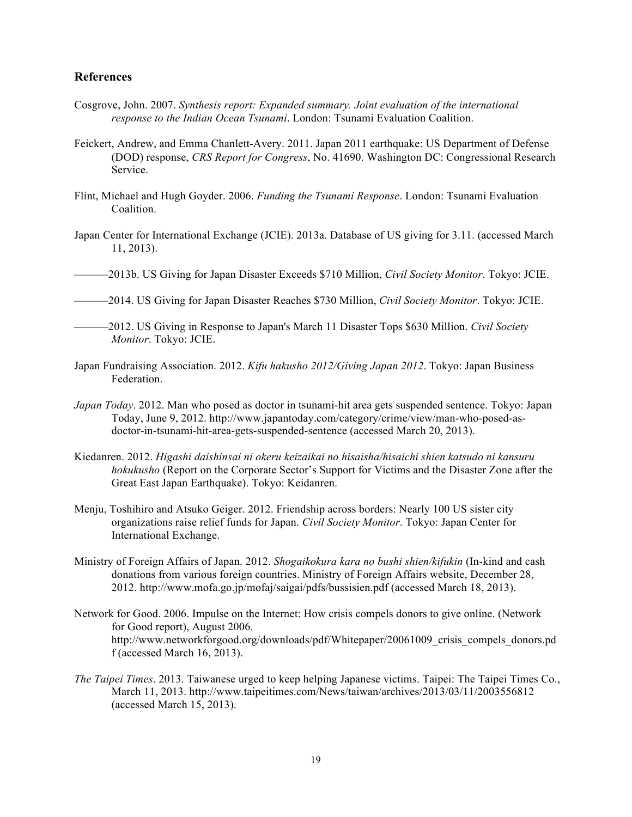#### **References**

- Cosgrove, John. 2007. *Synthesis report: Expanded summary. Joint evaluation of the international response to the Indian Ocean Tsunami*. London: Tsunami Evaluation Coalition.
- Feickert, Andrew, and Emma Chanlett-Avery. 2011. Japan 2011 earthquake: US Department of Defense (DOD) response, *CRS Report for Congress*, No. 41690. Washington DC: Congressional Research Service.
- Flint, Michael and Hugh Goyder. 2006. *Funding the Tsunami Response*. London: Tsunami Evaluation Coalition.
- Japan Center for International Exchange (JCIE). 2013a. Database of US giving for 3.11. (accessed March 11, 2013).
- ———2013b. US Giving for Japan Disaster Exceeds \$710 Million, *Civil Society Monitor*. Tokyo: JCIE.
- ———2014. US Giving for Japan Disaster Reaches \$730 Million, *Civil Society Monitor*. Tokyo: JCIE.

- Japan Fundraising Association. 2012. *Kifu hakusho 2012/Giving Japan 2012*. Tokyo: Japan Business Federation.
- *Japan Today*. 2012. Man who posed as doctor in tsunami-hit area gets suspended sentence. Tokyo: Japan Today, June 9, 2012. http://www.japantoday.com/category/crime/view/man-who-posed-asdoctor-in-tsunami-hit-area-gets-suspended-sentence (accessed March 20, 2013).
- Kiedanren. 2012. *Higashi daishinsai ni okeru keizaikai no hisaisha/hisaichi shien katsudo ni kansuru hokukusho* (Report on the Corporate Sector's Support for Victims and the Disaster Zone after the Great East Japan Earthquake). Tokyo: Keidanren.
- Menju, Toshihiro and Atsuko Geiger. 2012. Friendship across borders: Nearly 100 US sister city organizations raise relief funds for Japan. *Civil Society Monitor*. Tokyo: Japan Center for International Exchange.
- Ministry of Foreign Affairs of Japan. 2012. *Shogaikokura kara no bushi shien/kifukin* (In-kind and cash donations from various foreign countries. Ministry of Foreign Affairs website, December 28, 2012. http://www.mofa.go.jp/mofaj/saigai/pdfs/bussisien.pdf (accessed March 18, 2013).
- Network for Good. 2006. Impulse on the Internet: How crisis compels donors to give online. (Network for Good report), August 2006. http://www.networkforgood.org/downloads/pdf/Whitepaper/20061009\_crisis\_compels\_donors.pd f (accessed March 16, 2013).
- *The Taipei Times*. 2013. Taiwanese urged to keep helping Japanese victims. Taipei: The Taipei Times Co., March 11, 2013. http://www.taipeitimes.com/News/taiwan/archives/2013/03/11/2003556812 (accessed March 15, 2013).

<sup>———2012.</sup> US Giving in Response to Japan's March 11 Disaster Tops \$630 Million. *Civil Society Monitor*. Tokyo: JCIE.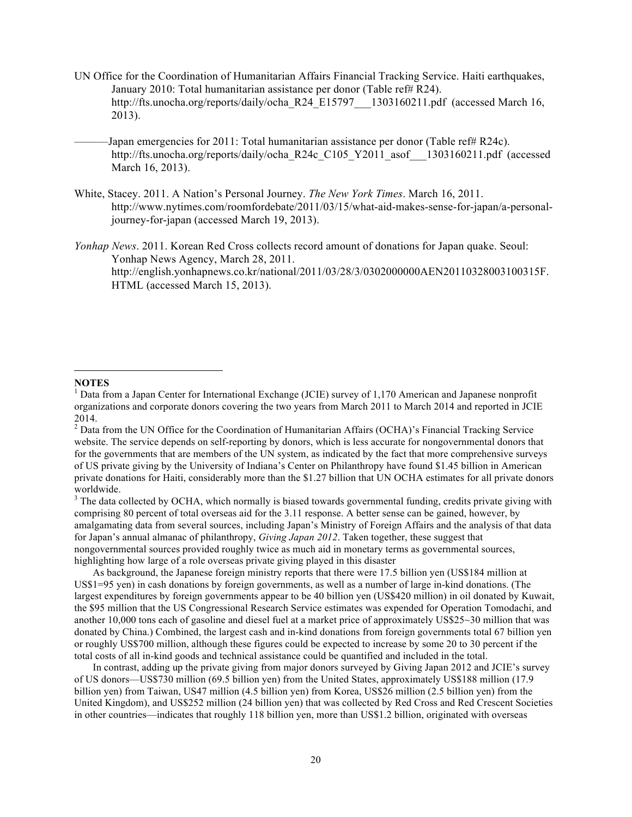- UN Office for the Coordination of Humanitarian Affairs Financial Tracking Service. Haiti earthquakes, January 2010: Total humanitarian assistance per donor (Table ref# R24). http://fts.unocha.org/reports/daily/ocha\_R24\_E15797\_\_\_1303160211.pdf (accessed March 16, 2013).
	- Japan emergencies for 2011: Total humanitarian assistance per donor (Table ref# R24c). http://fts.unocha.org/reports/daily/ocha\_R24c\_C105\_Y2011\_asof\_\_1303160211.pdf (accessed March 16, 2013).
- White, Stacey. 2011. A Nation's Personal Journey. *The New York Times*. March 16, 2011. http://www.nytimes.com/roomfordebate/2011/03/15/what-aid-makes-sense-for-japan/a-personaljourney-for-japan (accessed March 19, 2013).
- *Yonhap News*. 2011. Korean Red Cross collects record amount of donations for Japan quake. Seoul: Yonhap News Agency, March 28, 2011. http://english.yonhapnews.co.kr/national/2011/03/28/3/0302000000AEN20110328003100315F. HTML (accessed March 15, 2013).

#### **NOTES**

 $\overline{a}$ 

<sup>3</sup> The data collected by OCHA, which normally is biased towards governmental funding, credits private giving with comprising 80 percent of total overseas aid for the 3.11 response. A better sense can be gained, however, by amalgamating data from several sources, including Japan's Ministry of Foreign Affairs and the analysis of that data for Japan's annual almanac of philanthropy, *Giving Japan 2012*. Taken together, these suggest that nongovernmental sources provided roughly twice as much aid in monetary terms as governmental sources, highlighting how large of a role overseas private giving played in this disaster

As background, the Japanese foreign ministry reports that there were 17.5 billion yen (US\$184 million at US\$1=95 yen) in cash donations by foreign governments, as well as a number of large in-kind donations. (The largest expenditures by foreign governments appear to be 40 billion yen (US\$420 million) in oil donated by Kuwait, the \$95 million that the US Congressional Research Service estimates was expended for Operation Tomodachi, and another 10,000 tons each of gasoline and diesel fuel at a market price of approximately US\$25~30 million that was donated by China.) Combined, the largest cash and in-kind donations from foreign governments total 67 billion yen or roughly US\$700 million, although these figures could be expected to increase by some 20 to 30 percent if the total costs of all in-kind goods and technical assistance could be quantified and included in the total.

In contrast, adding up the private giving from major donors surveyed by Giving Japan 2012 and JCIE's survey of US donors—US\$730 million (69.5 billion yen) from the United States, approximately US\$188 million (17.9 billion yen) from Taiwan, US47 million (4.5 billion yen) from Korea, US\$26 million (2.5 billion yen) from the United Kingdom), and US\$252 million (24 billion yen) that was collected by Red Cross and Red Crescent Societies in other countries—indicates that roughly 118 billion yen, more than US\$1.2 billion, originated with overseas

<sup>&</sup>lt;sup>1</sup> Data from a Japan Center for International Exchange (JCIE) survey of 1,170 American and Japanese nonprofit organizations and corporate donors covering the two years from March 2011 to March 2014 and reported in JCIE 2014.

<sup>&</sup>lt;sup>2</sup> Data from the UN Office for the Coordination of Humanitarian Affairs (OCHA)'s Financial Tracking Service website. The service depends on self-reporting by donors, which is less accurate for nongovernmental donors that for the governments that are members of the UN system, as indicated by the fact that more comprehensive surveys of US private giving by the University of Indiana's Center on Philanthropy have found \$1.45 billion in American private donations for Haiti, considerably more than the \$1.27 billion that UN OCHA estimates for all private donors worldwide.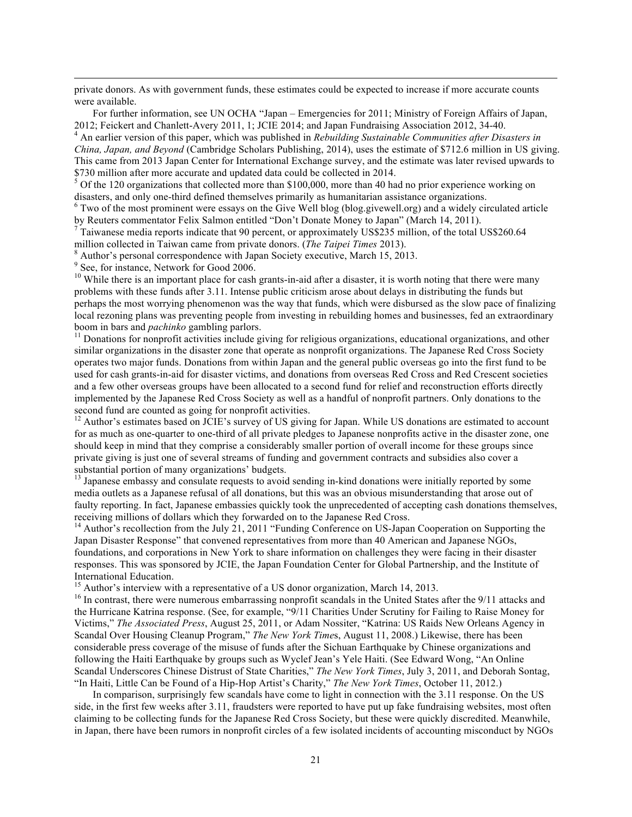private donors. As with government funds, these estimates could be expected to increase if more accurate counts were available.

For further information, see UN OCHA "Japan – Emergencies for 2011; Ministry of Foreign Affairs of Japan,

2012; Feickert and Chanlett-Avery 2011, 1; JCIE 2014; and Japan Fundraising Association 2012, 34-40. <sup>4</sup> An earlier version of this paper, which was published in *Rebuilding Sustainable Communities after Disasters in China, Japan, and Beyond* (Cambridge Scholars Publishing, 2014), uses the estimate of \$712.6 million in US giving. This came from 2013 Japan Center for International Exchange survey, and the estimate was later revised upwards to \$730 million after more accurate and updated data could be collected in 2014.<br><sup>5</sup> Of the 120 organizations that collected more than \$100,000, more than 40 had no prior experience working on

disasters, and only one-third defined themselves primarily as humanitarian assistance organizations. <sup>6</sup> Two of the most prominent were essays on the Give Well blog (blog.givewell.org) and a widely circulated article

by Reuters commentator Felix Salmon entitled "Don't Donate Money to Japan" (March 14, 2011).

 $<sup>7</sup>$  Taiwanese media reports indicate that 90 percent, or approximately US\$235 million, of the total US\$260.64</sup>

million collected in Taiwan came from private donors. (*The Taipei Times* 2013). <sup>8</sup> Author's personal correspondence with Japan Society executive, March 15, 2013.

<sup>9</sup> See, for instance, Network for Good 2006.

 $10$  While there is an important place for cash grants-in-aid after a disaster, it is worth noting that there were many problems with these funds after 3.11. Intense public criticism arose about delays in distributing the funds but perhaps the most worrying phenomenon was the way that funds, which were disbursed as the slow pace of finalizing local rezoning plans was preventing people from investing in rebuilding homes and businesses, fed an extraordinary boom in bars and *pachinko* gambling parlors.<br><sup>11</sup> Donations for nonprofit activities include giving for religious organizations, educational organizations, and other

similar organizations in the disaster zone that operate as nonprofit organizations. The Japanese Red Cross Society operates two major funds. Donations from within Japan and the general public overseas go into the first fund to be used for cash grants-in-aid for disaster victims, and donations from overseas Red Cross and Red Crescent societies and a few other overseas groups have been allocated to a second fund for relief and reconstruction efforts directly implemented by the Japanese Red Cross Society as well as a handful of nonprofit partners. Only donations to the second fund are counted as going for nonprofit activities.

<sup>12</sup> Author's estimates based on JCIE's survey of US giving for Japan. While US donations are estimated to account for as much as one-quarter to one-third of all private pledges to Japanese nonprofits active in the disaster zone, one should keep in mind that they comprise a considerably smaller portion of overall income for these groups since private giving is just one of several streams of funding and government contracts and subsidies also cover a substantial portion of many organizations' budgets.

<sup>13</sup> Japanese embassy and consulate requests to avoid sending in-kind donations were initially reported by some media outlets as a Japanese refusal of all donations, but this was an obvious misunderstanding that arose out of faulty reporting. In fact, Japanese embassies quickly took the unprecedented of accepting cash donations themselves, receiving millions of dollars which they forwarded on to the Japanese Red Cross.

<sup>14</sup> Author's recollection from the July 21, 2011 "Funding Conference on US-Japan Cooperation on Supporting the Japan Disaster Response" that convened representatives from more than 40 American and Japanese NGOs, foundations, and corporations in New York to share information on challenges they were facing in their disaster responses. This was sponsored by JCIE, the Japan Foundation Center for Global Partnership, and the Institute of International Education.<br><sup>15</sup> Author's interview with a representative of a US donor organization, March 14, 2013.

 $16$  In contrast, there were numerous embarrassing nonprofit scandals in the United States after the 9/11 attacks and the Hurricane Katrina response. (See, for example, "9/11 Charities Under Scrutiny for Failing to Raise Money for Victims," *The Associated Press*, August 25, 2011, or Adam Nossiter, "Katrina: US Raids New Orleans Agency in Scandal Over Housing Cleanup Program," *The New York Time*s, August 11, 2008.) Likewise, there has been considerable press coverage of the misuse of funds after the Sichuan Earthquake by Chinese organizations and following the Haiti Earthquake by groups such as Wyclef Jean's Yele Haiti. (See Edward Wong, "An Online Scandal Underscores Chinese Distrust of State Charities," *The New York Times*, July 3, 2011, and Deborah Sontag, "In Haiti, Little Can be Found of a Hip-Hop Artist's Charity," *The New York Times*, October 11, 2012.)

In comparison, surprisingly few scandals have come to light in connection with the 3.11 response. On the US side, in the first few weeks after 3.11, fraudsters were reported to have put up fake fundraising websites, most often claiming to be collecting funds for the Japanese Red Cross Society, but these were quickly discredited. Meanwhile, in Japan, there have been rumors in nonprofit circles of a few isolated incidents of accounting misconduct by NGOs